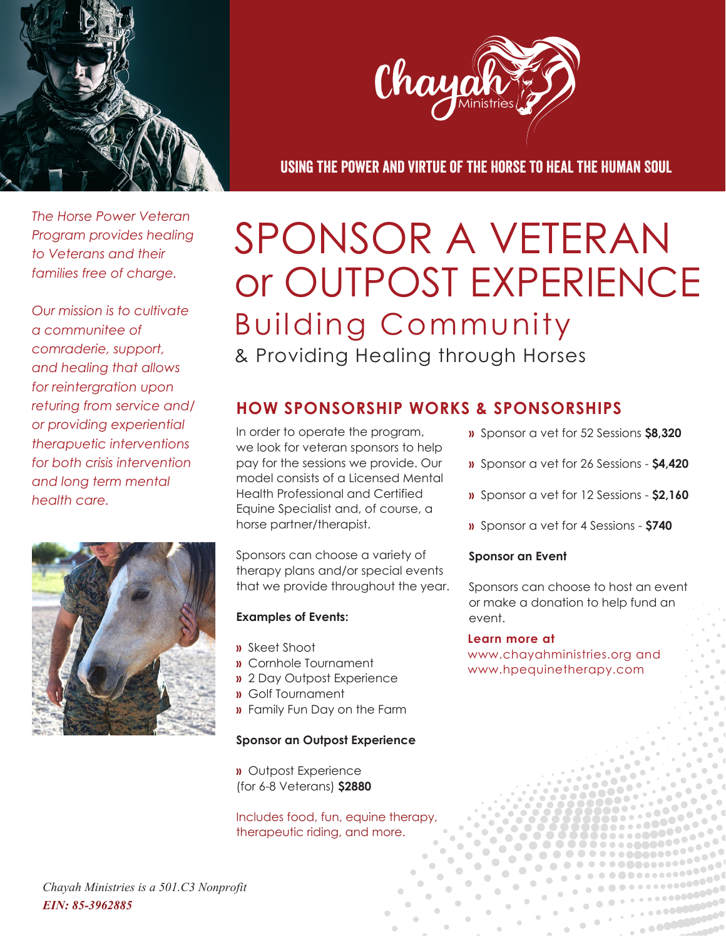



Using the Power and Virtue of the Horse to Heal the Human Soul

*The Horse Power Veteran Program provides healing to Veterans and their families free of charge.*

*Our mission is to cultivate a communitee of comraderie, support, and healing that allows for reintergration upon returing from service and/ or providing experiential therapuetic interventions for both crisis intervention and long term mental health care.*



# SPONSOR A VETERAN or OUTPOST EXPERIENCE & Providing Healing through Horses Building Community

## **HOW SPONSORSHIP WORKS & SPONSORSHIPS**

In order to operate the program, we look for veteran sponsors to help pay for the sessions we provide. Our model consists of a Licensed Mental Health Professional and Certified Equine Specialist and, of course, a horse partner/therapist.

Sponsors can choose a variety of therapy plans and/or special events that we provide throughout the year.

#### **Examples of Events:**

- **»** Skeet Shoot
- **»** Cornhole Tournament
- **»** 2 Day Outpost Experience
- **»** Golf Tournament
- **»** Family Fun Day on the Farm

#### **Sponsor an Outpost Experience**

**»** Outpost Experience (for 6-8 Veterans) **\$2880**

Includes food, fun, equine therapy, therapeutic riding, and more.

- **»** Sponsor a vet for 52 Sessions **\$8,320**
- **»** Sponsor a vet for 26 Sessions **\$4,420**
- **»** Sponsor a vet for 12 Sessions **\$2,160**
- **»** Sponsor a vet for 4 Sessions **\$740**

#### **Sponsor an Event**

Sponsors can choose to host an event or make a donation to help fund an event.

#### **Learn more at**

www.chayahministries.org and www.hpequinetherapy.com